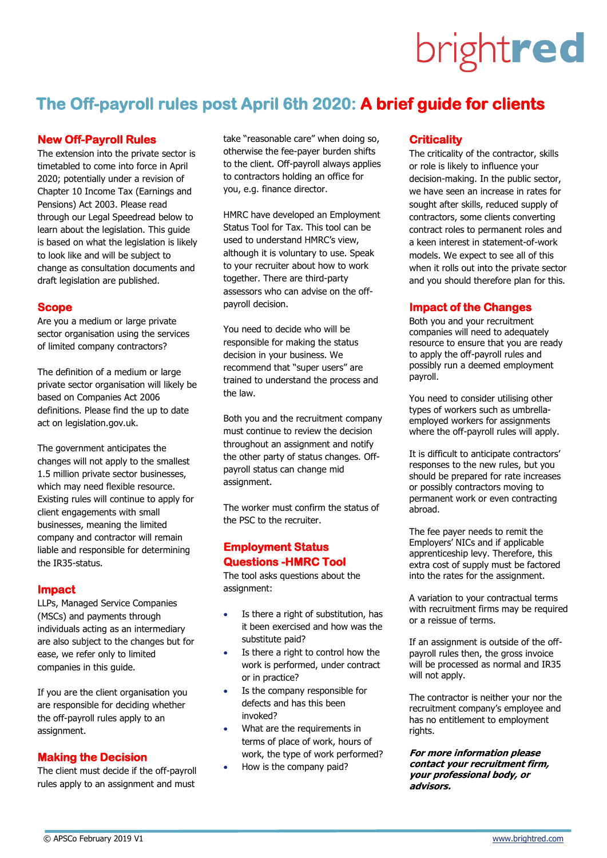# brightred

# **The Off-payroll rules post April 6th 2020: A brief guide for clients**

### **New Off-Payroll Rules**

The extension into the private sector is timetabled to come into force in April 2020; potentially under a revision of Chapter 10 Income Tax (Earnings and Pensions) Act 2003. Please read through our Legal Speedread below to learn about the legislation. This guide is based on what the legislation is likely to look like and will be subject to change as consultation documents and draft legislation are published.

### **Scope**

Are you a medium or large private sector organisation using the services of limited company contractors?

The definition of a medium or large private sector organisation will likely be based on Companies Act 2006 definitions. Please find the up to date act on legislation.gov.uk.

The government anticipates the changes will not apply to the smallest 1.5 million private sector businesses, which may need flexible resource. Existing rules will continue to apply for client engagements with small businesses, meaning the limited company and contractor will remain liable and responsible for determining the IR35-status.

### **Impact**

LLPs, Managed Service Companies (MSCs) and payments through individuals acting as an intermediary are also subject to the changes but for ease, we refer only to limited companies in this guide.

If you are the client organisation you are responsible for deciding whether the off-payroll rules apply to an assignment.

### **Making the Decision**

The client must decide if the off-payroll rules apply to an assignment and must

take "reasonable care" when doing so, otherwise the fee-payer burden shifts to the client. Off-payroll always applies to contractors holding an office for you, e.g. finance director.

HMRC have developed an Employment Status Tool for Tax. This tool can be used to understand HMRC's view, although it is voluntary to use. Speak to your recruiter about how to work together. There are third-party assessors who can advise on the offpayroll decision.

You need to decide who will be responsible for making the status decision in your business. We recommend that "super users" are trained to understand the process and the law.

Both you and the recruitment company must continue to review the decision throughout an assignment and notify the other party of status changes. Offpayroll status can change mid assignment.

The worker must confirm the status of the PSC to the recruiter.

### **Employment Status Questions -HMRC Tool**

The tool asks questions about the assignment:

- Is there a right of substitution, has it been exercised and how was the substitute paid?
- Is there a right to control how the work is performed, under contract or in practice?
- Is the company responsible for defects and has this been invoked?
- What are the requirements in terms of place of work, hours of work, the type of work performed?
- How is the company paid?

### **Criticality**

The criticality of the contractor, skills or role is likely to influence your decision-making. In the public sector, we have seen an increase in rates for sought after skills, reduced supply of contractors, some clients converting contract roles to permanent roles and a keen interest in statement-of-work models. We expect to see all of this when it rolls out into the private sector and you should therefore plan for this.

### **Impact of the Changes**

Both you and your recruitment companies will need to adequately resource to ensure that you are ready to apply the off-payroll rules and possibly run a deemed employment payroll.

You need to consider utilising other types of workers such as umbrellaemployed workers for assignments where the off-payroll rules will apply.

It is difficult to anticipate contractors' responses to the new rules, but you should be prepared for rate increases or possibly contractors moving to permanent work or even contracting abroad.

The fee payer needs to remit the Employers' NICs and if applicable apprenticeship levy. Therefore, this extra cost of supply must be factored into the rates for the assignment.

A variation to your contractual terms with recruitment firms may be required or a reissue of terms.

If an assignment is outside of the offpayroll rules then, the gross invoice will be processed as normal and IR35 will not apply.

The contractor is neither your nor the recruitment company's employee and has no entitlement to employment rights.

**For more information please contact your recruitment firm, your professional body, or advisors.**